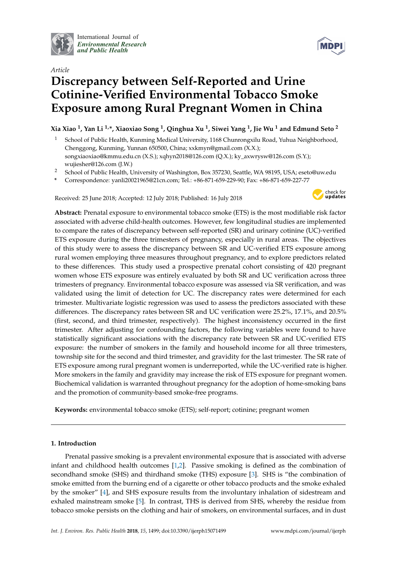

International Journal of *[Environmental Research](http://www.mdpi.com/journal/ijerph) and Public Health*

## *Article*

# **Discrepancy between Self-Reported and Urine Cotinine-Verified Environmental Tobacco Smoke Exposure among Rural Pregnant Women in China**

# **Xia Xiao <sup>1</sup> , Yan Li 1,\*, Xiaoxiao Song <sup>1</sup> , Qinghua Xu <sup>1</sup> , Siwei Yang <sup>1</sup> , Jie Wu <sup>1</sup> and Edmund Seto <sup>2</sup>**

- <sup>1</sup> School of Public Health, Kunming Medical University, 1168 Chunrongxilu Road, Yuhua Neighborhood, Chenggong, Kunming, Yunnan 650500, China; xxkmyn@gmail.com (X.X.); songxiaoxiao@kmmu.edu.cn (X.S.); xqhyn2018@126.com (Q.X.); ky\_axwrysw@126.com (S.Y.); wujiesher@126.com (J.W.)
- <sup>2</sup> School of Public Health, University of Washington, Box 357230, Seattle, WA 98195, USA; eseto@uw.edu
- **\*** Correspondence: yanli20021965@21cn.com; Tel.: +86-871-659-229-90; Fax: +86-871-659-227-77

Received: 25 June 2018; Accepted: 12 July 2018; Published: 16 July 2018



**Abstract:** Prenatal exposure to environmental tobacco smoke (ETS) is the most modifiable risk factor associated with adverse child-health outcomes. However, few longitudinal studies are implemented to compare the rates of discrepancy between self-reported (SR) and urinary cotinine (UC)-verified ETS exposure during the three trimesters of pregnancy, especially in rural areas. The objectives of this study were to assess the discrepancy between SR and UC-verified ETS exposure among rural women employing three measures throughout pregnancy, and to explore predictors related to these differences. This study used a prospective prenatal cohort consisting of 420 pregnant women whose ETS exposure was entirely evaluated by both SR and UC verification across three trimesters of pregnancy. Environmental tobacco exposure was assessed via SR verification, and was validated using the limit of detection for UC. The discrepancy rates were determined for each trimester. Multivariate logistic regression was used to assess the predictors associated with these differences. The discrepancy rates between SR and UC verification were 25.2%, 17.1%, and 20.5% (first, second, and third trimester, respectively). The highest inconsistency occurred in the first trimester. After adjusting for confounding factors, the following variables were found to have statistically significant associations with the discrepancy rate between SR and UC-verified ETS exposure: the number of smokers in the family and household income for all three trimesters, township site for the second and third trimester, and gravidity for the last trimester. The SR rate of ETS exposure among rural pregnant women is underreported, while the UC-verified rate is higher. More smokers in the family and gravidity may increase the risk of ETS exposure for pregnant women. Biochemical validation is warranted throughout pregnancy for the adoption of home-smoking bans and the promotion of community-based smoke-free programs.

**Keywords:** environmental tobacco smoke (ETS); self-report; cotinine; pregnant women

## **1. Introduction**

Prenatal passive smoking is a prevalent environmental exposure that is associated with adverse infant and childhood health outcomes [\[1,](#page-9-0)[2\]](#page-9-1). Passive smoking is defined as the combination of secondhand smoke (SHS) and thirdhand smoke (THS) exposure [\[3\]](#page-9-2). SHS is "the combination of smoke emitted from the burning end of a cigarette or other tobacco products and the smoke exhaled by the smoker" [\[4\]](#page-9-3), and SHS exposure results from the involuntary inhalation of sidestream and exhaled mainstream smoke [\[5\]](#page-9-4). In contrast, THS is derived from SHS, whereby the residue from tobacco smoke persists on the clothing and hair of smokers, on environmental surfaces, and in dust

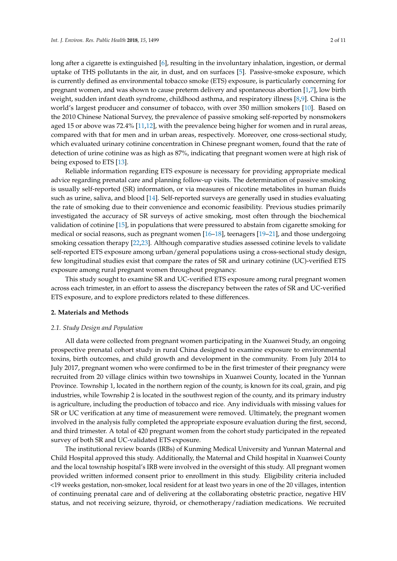long after a cigarette is extinguished [\[6\]](#page-9-5), resulting in the involuntary inhalation, ingestion, or dermal uptake of THS pollutants in the air, in dust, and on surfaces [\[5\]](#page-9-4). Passive-smoke exposure, which is currently defined as environmental tobacco smoke (ETS) exposure, is particularly concerning for pregnant women, and was shown to cause preterm delivery and spontaneous abortion [\[1,](#page-9-0)[7\]](#page-9-6), low birth weight, sudden infant death syndrome, childhood asthma, and respiratory illness [\[8](#page-9-7)[,9\]](#page-9-8). China is the world's largest producer and consumer of tobacco, with over 350 million smokers [\[10\]](#page-9-9). Based on the 2010 Chinese National Survey, the prevalence of passive smoking self-reported by nonsmokers aged 15 or above was 72.4% [\[11](#page-9-10)[,12\]](#page-9-11), with the prevalence being higher for women and in rural areas, compared with that for men and in urban areas, respectively. Moreover, one cross-sectional study, which evaluated urinary cotinine concentration in Chinese pregnant women, found that the rate of detection of urine cotinine was as high as 87%, indicating that pregnant women were at high risk of being exposed to ETS [\[13\]](#page-9-12).

Reliable information regarding ETS exposure is necessary for providing appropriate medical advice regarding prenatal care and planning follow-up visits. The determination of passive smoking is usually self-reported (SR) information, or via measures of nicotine metabolites in human fluids such as urine, saliva, and blood [\[14\]](#page-9-13). Self-reported surveys are generally used in studies evaluating the rate of smoking due to their convenience and economic feasibility. Previous studies primarily investigated the accuracy of SR surveys of active smoking, most often through the biochemical validation of cotinine [\[15\]](#page-9-14), in populations that were pressured to abstain from cigarette smoking for medical or social reasons, such as pregnant women [\[16](#page-9-15)[–18\]](#page-9-16), teenagers [\[19](#page-9-17)[–21\]](#page-9-18), and those undergoing smoking cessation therapy [\[22](#page-10-0)[,23\]](#page-10-1). Although comparative studies assessed cotinine levels to validate self-reported ETS exposure among urban/general populations using a cross-sectional study design, few longitudinal studies exist that compare the rates of SR and urinary cotinine (UC)-verified ETS exposure among rural pregnant women throughout pregnancy.

This study sought to examine SR and UC-verified ETS exposure among rural pregnant women across each trimester, in an effort to assess the discrepancy between the rates of SR and UC-verified ETS exposure, and to explore predictors related to these differences.

#### **2. Materials and Methods**

#### *2.1. Study Design and Population*

All data were collected from pregnant women participating in the Xuanwei Study, an ongoing prospective prenatal cohort study in rural China designed to examine exposure to environmental toxins, birth outcomes, and child growth and development in the community. From July 2014 to July 2017, pregnant women who were confirmed to be in the first trimester of their pregnancy were recruited from 20 village clinics within two townships in Xuanwei County, located in the Yunnan Province. Township 1, located in the northern region of the county, is known for its coal, grain, and pig industries, while Township 2 is located in the southwest region of the county, and its primary industry is agriculture, including the production of tobacco and rice. Any individuals with missing values for SR or UC verification at any time of measurement were removed. Ultimately, the pregnant women involved in the analysis fully completed the appropriate exposure evaluation during the first, second, and third trimester. A total of 420 pregnant women from the cohort study participated in the repeated survey of both SR and UC-validated ETS exposure.

The institutional review boards (IRBs) of Kunming Medical University and Yunnan Maternal and Child Hospital approved this study. Additionally, the Maternal and Child hospital in Xuanwei County and the local township hospital's IRB were involved in the oversight of this study. All pregnant women provided written informed consent prior to enrollment in this study. Eligibility criteria included <19 weeks gestation, non-smoker, local resident for at least two years in one of the 20 villages, intention of continuing prenatal care and of delivering at the collaborating obstetric practice, negative HIV status, and not receiving seizure, thyroid, or chemotherapy/radiation medications. We recruited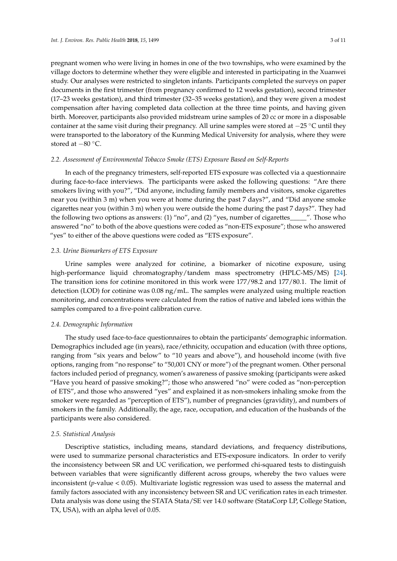pregnant women who were living in homes in one of the two townships, who were examined by the village doctors to determine whether they were eligible and interested in participating in the Xuanwei study. Our analyses were restricted to singleton infants. Participants completed the surveys on paper documents in the first trimester (from pregnancy confirmed to 12 weeks gestation), second trimester (17–23 weeks gestation), and third trimester (32–35 weeks gestation), and they were given a modest compensation after having completed data collection at the three time points, and having given birth. Moreover, participants also provided midstream urine samples of 20 cc or more in a disposable container at the same visit during their pregnancy. All urine samples were stored at −25 ◦C until they were transported to the laboratory of the Kunming Medical University for analysis, where they were stored at −80 ◦C.

## *2.2. Assessment of Environmental Tobacco Smoke (ETS) Exposure Based on Self-Reports*

In each of the pregnancy trimesters, self-reported ETS exposure was collected via a questionnaire during face-to-face interviews. The participants were asked the following questions: "Are there smokers living with you?", "Did anyone, including family members and visitors, smoke cigarettes near you (within 3 m) when you were at home during the past 7 days?", and "Did anyone smoke cigarettes near you (within 3 m) when you were outside the home during the past 7 days?". They had the following two options as answers: (1) "no", and (2) "yes, number of cigarettes\_\_\_\_\_". Those who answered "no" to both of the above questions were coded as "non-ETS exposure"; those who answered "yes" to either of the above questions were coded as "ETS exposure".

## *2.3. Urine Biomarkers of ETS Exposure*

Urine samples were analyzed for cotinine, a biomarker of nicotine exposure, using high-performance liquid chromatography/tandem mass spectrometry (HPLC-MS/MS) [\[24\]](#page-10-2). The transition ions for cotinine monitored in this work were 177/98.2 and 177/80.1. The limit of detection (LOD) for cotinine was 0.08 ng/mL. The samples were analyzed using multiple reaction monitoring, and concentrations were calculated from the ratios of native and labeled ions within the samples compared to a five-point calibration curve.

## *2.4. Demographic Information*

The study used face-to-face questionnaires to obtain the participants' demographic information. Demographics included age (in years), race/ethnicity, occupation and education (with three options, ranging from "six years and below" to "10 years and above"), and household income (with five options, ranging from "no response" to "50,001 CNY or more") of the pregnant women. Other personal factors included period of pregnancy, women's awareness of passive smoking (participants were asked "Have you heard of passive smoking?"; those who answered "no" were coded as "non-perception of ETS", and those who answered "yes" and explained it as non-smokers inhaling smoke from the smoker were regarded as "perception of ETS"), number of pregnancies (gravidity), and numbers of smokers in the family. Additionally, the age, race, occupation, and education of the husbands of the participants were also considered.

## *2.5. Statistical Analysis*

Descriptive statistics, including means, standard deviations, and frequency distributions, were used to summarize personal characteristics and ETS-exposure indicators. In order to verify the inconsistency between SR and UC verification, we performed chi-squared tests to distinguish between variables that were significantly different across groups, whereby the two values were inconsistent (*p*-value < 0.05). Multivariate logistic regression was used to assess the maternal and family factors associated with any inconsistency between SR and UC verification rates in each trimester. Data analysis was done using the STATA Stata/SE ver 14.0 software (StataCorp LP, College Station, TX, USA), with an alpha level of 0.05.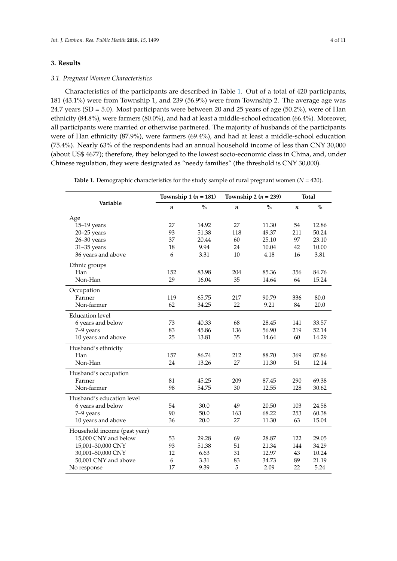## **3. Results**

#### *3.1. Pregnant Women Characteristics*

Characteristics of the participants are described in Table [1.](#page-3-0) Out of a total of 420 participants, 181 (43.1%) were from Township 1, and 239 (56.9%) were from Township 2. The average age was 24.7 years (SD = 5.0). Most participants were between 20 and 25 years of age (50.2%), were of Han ethnicity (84.8%), were farmers (80.0%), and had at least a middle-school education (66.4%). Moreover, all participants were married or otherwise partnered. The majority of husbands of the participants were of Han ethnicity (87.9%), were farmers (69.4%), and had at least a middle-school education (75.4%). Nearly 63% of the respondents had an annual household income of less than CNY 30,000 (about US\$ 4677); therefore, they belonged to the lowest socio-economic class in China, and, under Chinese regulation, they were designated as "needy families" (the threshold is CNY 30,000).

<span id="page-3-0"></span>**Table 1.** Demographic characteristics for the study sample of rural pregnant women (*N* = 420).

|                              |     | Township 1 ( $n = 181$ ) |     | Township 2 ( $n = 239$ ) | <b>Total</b>     |               |
|------------------------------|-----|--------------------------|-----|--------------------------|------------------|---------------|
| Variable                     | n   | $\frac{0}{0}$            | n   | $\frac{0}{0}$            | $\boldsymbol{n}$ | $\frac{1}{2}$ |
| Age                          |     |                          |     |                          |                  |               |
| $15-19$ years                | 27  | 14.92                    | 27  | 11.30                    | 54               | 12.86         |
| $20 - 25$ years              | 93  | 51.38                    | 118 | 49.37                    | 211              | 50.24         |
| $26 - 30$ years              | 37  | 20.44                    | 60  | 25.10                    | 97               | 23.10         |
| $31 - 35$ years              | 18  | 9.94                     | 24  | 10.04                    | 42               | 10.00         |
| 36 years and above           | 6   | 3.31                     | 10  | 4.18                     | 16               | 3.81          |
| Ethnic groups                |     |                          |     |                          |                  |               |
| Han                          | 152 | 83.98                    | 204 | 85.36                    | 356              | 84.76         |
| Non-Han                      | 29  | 16.04                    | 35  | 14.64                    | 64               | 15.24         |
| Occupation                   |     |                          |     |                          |                  |               |
| Farmer                       | 119 | 65.75                    | 217 | 90.79                    | 336              | 80.0          |
| Non-farmer                   | 62  | 34.25                    | 22  | 9.21                     | 84               | 20.0          |
| <b>Education</b> level       |     |                          |     |                          |                  |               |
| 6 years and below            | 73  | 40.33                    | 68  | 28.45                    | 141              | 33.57         |
| 7-9 years                    | 83  | 45.86                    | 136 | 56.90                    | 219              | 52.14         |
| 10 years and above           | 25  | 13.81                    | 35  | 14.64                    | 60               | 14.29         |
| Husband's ethnicity          |     |                          |     |                          |                  |               |
| Han                          | 157 | 86.74                    | 212 | 88.70                    | 369              | 87.86         |
| Non-Han                      | 24  | 13.26                    | 27  | 11.30                    | 51               | 12.14         |
| Husband's occupation         |     |                          |     |                          |                  |               |
| Farmer                       | 81  | 45.25                    | 209 | 87.45                    | 290              | 69.38         |
| Non-farmer                   | 98  | 54.75                    | 30  | 12.55                    | 128              | 30.62         |
| Husband's education level    |     |                          |     |                          |                  |               |
| 6 years and below            | 54  | 30.0                     | 49  | 20.50                    | 103              | 24.58         |
| 7-9 years                    | 90  | 50.0                     | 163 | 68.22                    | 253              | 60.38         |
| 10 years and above           | 36  | 20.0                     | 27  | 11.30                    | 63               | 15.04         |
| Household income (past year) |     |                          |     |                          |                  |               |
| 15,000 CNY and below         | 53  | 29.28                    | 69  | 28.87                    | 122              | 29.05         |
| 15,001-30,000 CNY            | 93  | 51.38                    | 51  | 21.34                    | 144              | 34.29         |
| 30,001-50,000 CNY            | 12  | 6.63                     | 31  | 12.97                    | 43               | 10.24         |
| 50,001 CNY and above         | 6   | 3.31                     | 83  | 34.73                    | 89               | 21.19         |
| No response                  | 17  | 9.39                     | 5   | 2.09                     | 22               | 5.24          |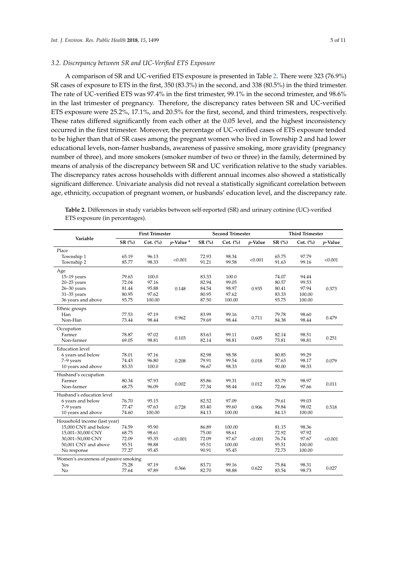## *3.2. Discrepancy between SR and UC-Verified ETS Exposure*

A comparison of SR and UC-verified ETS exposure is presented in Table [2.](#page-5-0) There were 323 (76.9%) SR cases of exposure to ETS in the first, 350 (83.3%) in the second, and 338 (80.5%) in the third trimester. The rate of UC-verified ETS was 97.4% in the first trimester, 99.1% in the second trimester, and 98.6% in the last trimester of pregnancy. Therefore, the discrepancy rates between SR and UC-verified ETS exposure were 25.2%, 17.1%, and 20.5% for the first, second, and third trimesters, respectively. These rates differed significantly from each other at the 0.05 level, and the highest inconsistency occurred in the first trimester. Moreover, the percentage of UC-verified cases of ETS exposure tended to be higher than that of SR cases among the pregnant women who lived in Township 2 and had lower educational levels, non-famer husbands, awareness of passive smoking, more gravidity (pregnancy number of three), and more smokers (smoker number of two or three) in the family, determined by means of analysis of the discrepancy between SR and UC verification relative to the study variables. The discrepancy rates across households with different annual incomes also showed a statistically significant difference. Univariate analysis did not reveal a statistically significant correlation between age, ethnicity, occupation of pregnant women, or husbands' education level, and the discrepancy rate.

**Table 2.** Differences in study variables between self-reported (SR) and urinary cotinine (UC)-verified ETS exposure (in percentages).

|                                      | <b>First Trimester</b> |             |                         | <b>Second Trimester</b> |             |            | <b>Third Trimester</b> |             |            |  |
|--------------------------------------|------------------------|-------------|-------------------------|-------------------------|-------------|------------|------------------------|-------------|------------|--|
| Variable                             | SR (%)                 | Cot. $(\%)$ | $p$ -Value <sup>a</sup> | SR (%)                  | Cot. $(\%)$ | $p$ -Value | SR (%)                 | Cot. $(\%)$ | $p$ -Value |  |
| Place                                |                        |             |                         |                         |             |            |                        |             |            |  |
| Township 1                           | 65.19                  | 96.13       |                         | 72.93                   | 98.34       |            | 65.75                  | 97.79       |            |  |
| Township 2                           | 85.77                  | 98.33       | < 0.001                 | 91.21                   | 99.58       | < 0.001    | 91.63                  | 99.16       | < 0.001    |  |
| $_{\rm Age}$                         |                        |             |                         |                         |             |            |                        |             |            |  |
| $15-19$ years                        | 79.63                  | 100.0       |                         | 83.33                   | 100.0       |            | 74.07                  | 94.44       |            |  |
| $20 - 25$ years                      | 72.04                  | 97.16       |                         | 82.94                   | 99.05       |            | 80.57                  | 99.53       |            |  |
| $26 - 30$ years                      | 81.44                  | 95.88       | 0.148                   | 84.54                   | 98.97       | 0.935      | 80.41                  | 97.94       | 0.373      |  |
| $31 - 35$ years                      | 80.95                  | 97.62       |                         | 80.95                   | 97.62       |            | 83.33                  | 100.00      |            |  |
| 36 years and above                   | 93.75                  | 100.00      |                         | 87.50                   | 100.00      |            | 93.75                  | 100.00      |            |  |
| Ethnic groups                        |                        |             |                         |                         |             |            |                        |             |            |  |
| Han                                  | 77.53                  | 97.19       |                         | 83.99                   | 99.16       |            | 79.78                  | 98.60       |            |  |
| Non-Han                              | 73.44                  | 98.44       | 0.962                   | 79.69                   | 98.44       | 0.711      | 84.38                  | 98.44       | 0.479      |  |
| Occupation                           |                        |             |                         |                         |             |            |                        |             |            |  |
| Farmer                               | 78.87                  | 97.02       |                         | 83.63                   | 99.11       |            | 82.14                  | 98.51       |            |  |
| Non-farmer                           | 69.05                  | 98.81       | 0.103                   | 82.14                   | 98.81       | 0.605      | 73.81                  | 98.81       | 0.251      |  |
| <b>Education</b> level               |                        |             |                         |                         |             |            |                        |             |            |  |
| 6 years and below                    | 78.01                  | 97.16       |                         | 82.98                   | 98.58       |            | 80.85                  | 99.29       |            |  |
| 7-9 years                            | 74.43                  | 96.80       | 0.208                   | 79.91                   | 99.54       | 0.018      | 77.63                  | 98.17       | 0.079      |  |
| 10 years and above                   | 83.33                  | 100.0       |                         | 96.67                   | 98.33       |            | 90.00                  | 98.33       |            |  |
| Husband's occupation                 |                        |             |                         |                         |             |            |                        |             |            |  |
| Farmer                               | 80.34                  | 97.93       |                         | 85.86                   | 99.31       |            | 83.79                  | 98.97       |            |  |
| Non-farmer                           | 68.75                  | 96.09       | 0.002                   | 77.34                   | 98.44       | 0.012      | 72.66                  | 97.66       | 0.011      |  |
| Husband's education level            |                        |             |                         |                         |             |            |                        |             |            |  |
| 6 years and below                    | 76.70                  | 95.15       |                         | 82.52                   | 97.09       |            | 79.61                  | 99.03       |            |  |
| 7-9 years                            | 77.47                  | 97.63       | 0.728                   | 83.40                   | 99.60       | 0.906      | 79.84                  | 98.02       | 0.518      |  |
| 10 years and above                   | 74.60                  | 100.00      |                         | 84.13                   | 100.00      |            | 84.13                  | 100.00      |            |  |
| Household income (last year)         |                        |             |                         |                         |             |            |                        |             |            |  |
| 15,000 CNY and below                 | 74.59                  | 95.90       |                         | 86.89                   | 100.00      |            | 81.15                  | 98.36       |            |  |
| 15,001-30,000 CNY                    | 68.75                  | 98.61       |                         | 75.00                   | 98.61       | < 0.001    | 72.92                  | 97.92       | < 0.001    |  |
| 30,001-50,000 CNY                    | 72.09                  | 95.35       | < 0.001                 | 72.09                   | 97.67       |            | 76.74                  | 97.67       |            |  |
| 50,001 CNY and above                 | 95.51                  | 98.88       |                         | 95.51                   | 100.00      |            | 95.51                  | 100.00      |            |  |
| No response                          | 77.27                  | 95.45       |                         | 90.91                   | 95.45       |            | 72.73                  | 100.00      |            |  |
| Women's awareness of passive smoking |                        |             |                         |                         |             |            |                        |             |            |  |
| Yes                                  | 75.28                  | 97.19       | 0.366                   | 83.71                   | 99.16       | 0.622      | 75.84                  | 98.31       | 0.027      |  |
| No                                   | 77.64                  | 97.89       |                         | 82.70                   | 98.88       |            | 83.54                  | 98.73       |            |  |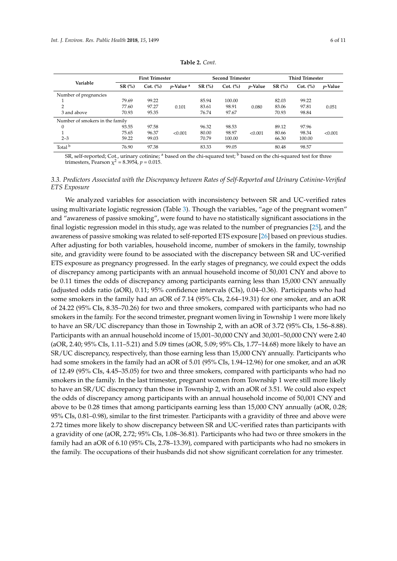<span id="page-5-0"></span>

|                                 | <b>First Trimester</b> |                         | <b>Second Trimester</b>      |               |                         | <b>Third Trimester</b> |       |                         |                 |
|---------------------------------|------------------------|-------------------------|------------------------------|---------------|-------------------------|------------------------|-------|-------------------------|-----------------|
| Variable                        | SR(%)                  | $\cot$ . $\binom{0}{0}$ | <i>p</i> -Value <sup>a</sup> | <b>SR</b> (%) | $\cot$ . $\binom{0}{0}$ | <i>p</i> -Value        | SR(%) | $\cot$ . $\binom{0}{0}$ | <i>p</i> -Value |
| Number of pregnancies           |                        |                         |                              |               |                         |                        |       |                         |                 |
|                                 | 79.69                  | 99.22                   |                              | 85.94         | 100.00                  |                        | 82.03 | 99.22                   |                 |
| $\overline{2}$                  | 77.60                  | 97.27                   | 0.101                        | 83.61         | 98.91                   | 0.080                  | 83.06 | 97.81                   | 0.051           |
| 3 and above                     | 70.93                  | 95.35                   |                              | 76.74         | 97.67                   |                        | 70.93 | 98.84                   |                 |
| Number of smokers in the family |                        |                         |                              |               |                         |                        |       |                         |                 |
| 0                               | 93.55                  | 97.58                   |                              | 96.32         | 98.53                   |                        | 89.12 | 97.96                   |                 |
|                                 | 75.65                  | 96.37                   | < 0.001                      | 80.00         | 98.97                   | < 0.001                | 80.66 | 98.34                   | < 0.001         |
| $2 - 3$                         | 59.22                  | 99.03                   |                              | 70.79         | 100.00                  |                        | 66.30 | 100.00                  |                 |
| Total <sup>b</sup>              | 76.90                  | 97.38                   |                              | 83.33         | 99.05                   |                        | 80.48 | 98.57                   |                 |

**Table 2.** *Cont.*

SR, self-reported; Cot., urinary cotinine; <sup>a</sup> based on the chi-squared test; <sup>b</sup> based on the chi-squared test for three trimesters, Pearson  $\chi^2$  = 8.3954, *p* = 0.015.

## *3.3. Predictors Associated with the Discrepancy between Rates of Self-Reported and Urinary Cotinine-Verified ETS Exposure*

We analyzed variables for association with inconsistency between SR and UC-verified rates using multivariate logistic regression (Table [3\)](#page-6-0). Though the variables, "age of the pregnant women" and "awareness of passive smoking", were found to have no statistically significant associations in the final logistic regression model in this study, age was related to the number of pregnancies [\[25\]](#page-10-3), and the awareness of passive smoking was related to self-reported ETS exposure [\[26\]](#page-10-4) based on previous studies. After adjusting for both variables, household income, number of smokers in the family, township site, and gravidity were found to be associated with the discrepancy between SR and UC-verified ETS exposure as pregnancy progressed. In the early stages of pregnancy, we could expect the odds of discrepancy among participants with an annual household income of 50,001 CNY and above to be 0.11 times the odds of discrepancy among participants earning less than 15,000 CNY annually (adjusted odds ratio (aOR), 0.11; 95% confidence intervals (CIs), 0.04–0.36). Participants who had some smokers in the family had an aOR of 7.14 (95% CIs, 2.64–19.31) for one smoker, and an aOR of 24.22 (95% CIs, 8.35–70.26) for two and three smokers, compared with participants who had no smokers in the family. For the second trimester, pregnant women living in Township 1 were more likely to have an SR/UC discrepancy than those in Township 2, with an aOR of 3.72 (95% CIs, 1.56–8.88). Participants with an annual household income of 15,001–30,000 CNY and 30,001–50,000 CNY were 2.40 (aOR, 2.40; 95% CIs, 1.11–5.21) and 5.09 times (aOR, 5.09; 95% CIs, 1.77–14.68) more likely to have an SR/UC discrepancy, respectively, than those earning less than 15,000 CNY annually. Participants who had some smokers in the family had an aOR of 5.01 (95% CIs, 1.94–12.96) for one smoker, and an aOR of 12.49 (95% CIs, 4.45–35.05) for two and three smokers, compared with participants who had no smokers in the family. In the last trimester, pregnant women from Township 1 were still more likely to have an SR/UC discrepancy than those in Township 2, with an aOR of 3.51. We could also expect the odds of discrepancy among participants with an annual household income of 50,001 CNY and above to be 0.28 times that among participants earning less than 15,000 CNY annually (aOR, 0.28; 95% CIs, 0.81–0.98), similar to the first trimester. Participants with a gravidity of three and above were 2.72 times more likely to show discrepancy between SR and UC-verified rates than participants with a gravidity of one (aOR, 2.72; 95% CIs, 1.08–36.81). Participants who had two or three smokers in the family had an aOR of 6.10 (95% CIs, 2.78–13.39), compared with participants who had no smokers in the family. The occupations of their husbands did not show significant correlation for any trimester.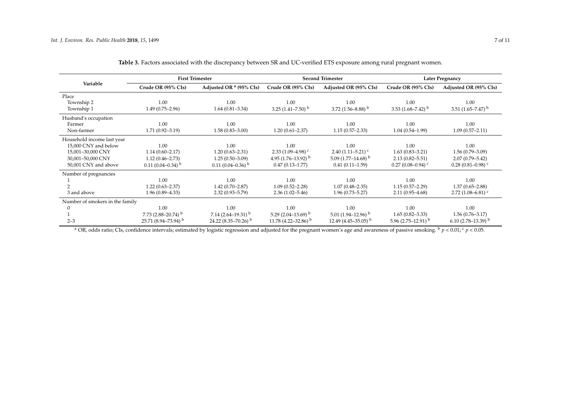|                                 |                                    | <b>First Trimester</b>             |                                  | <b>Second Trimester</b>          | <b>Later Pregnancy</b>           |                                   |
|---------------------------------|------------------------------------|------------------------------------|----------------------------------|----------------------------------|----------------------------------|-----------------------------------|
| Variable                        | Crude OR (95% CIs)                 | Adjusted OR <sup>a</sup> (95% CIs) | Crude OR (95% CIs)               | Adjusted OR (95% CIs)            | Crude OR (95% CIs)               | Adjusted OR (95% CIs)             |
| Place                           |                                    |                                    |                                  |                                  |                                  |                                   |
| Township 2                      | 1.00                               | 1.00                               | 1.00                             | 1.00                             | 1.00                             | 1.00                              |
| Township 1                      | $1.49(0.75 - 2.96)$                | $1.64(0.81 - 3.34)$                | 3.25 $(1.41 - 7.50)^{b}$         | 3.72 $(1.56 - 8.88)^{b}$         | 3.53 $(1.68 - 7.42)^{b}$         | 3.51 $(1.65 - 7.47)^b$            |
| Husband's occupation            |                                    |                                    |                                  |                                  |                                  |                                   |
| Farmer                          | 1.00                               | 1.00                               | 1.00                             | 1.00                             | 1.00                             | 1.00                              |
| Non-farmer                      | $1.71(0.92 - 3.19)$                | $1.58(0.83 - 3.00)$                | $1.20(0.61 - 2.37)$              | $1.15(0.57 - 2.33)$              | $1.04(0.54 - 1.99)$              | $1.09(0.57 - 2.11)$               |
| Household income last year      |                                    |                                    |                                  |                                  |                                  |                                   |
| 15,000 CNY and below            | 1.00                               | 1.00                               | 1.00                             | 1.00                             | 1.00                             | 1.00                              |
| 15,001-30,000 CNY               | $1.14(0.60 - 2.17)$                | $1.20(0.63 - 2.31)$                | 2.33 $(1.09-4.98)$ <sup>c</sup>  | 2.40 $(1.11-5.21)$ <sup>c</sup>  | $1.63(0.83 - 3.21)$              | $1.56(0.79-3.09)$                 |
| 30,001-50,000 CNY               | $1.12(0.46 - 2.73)$                | $1.25(0.50-3.09)$                  | 4.95 $(1.76-13.92)$ <sup>b</sup> | 5.09 $(1.77-14.68)$ <sup>b</sup> | $2.13(0.82 - 5.51)$              | $2.07(0.79 - 5.42)$               |
| 50,001 CNY and above            | $0.11(0.04 - 0.34)$ <sup>b</sup>   | $0.11(0.04 - 0.36)^{b}$            | $0.47(0.13 - 1.77)$              | $0.41(0.11-1.59)$                | $0.27(0.08 - 0.94)$ <sup>c</sup> | $0.28(0.81 - 0.98)^c$             |
| Number of pregnancies           |                                    |                                    |                                  |                                  |                                  |                                   |
|                                 | 1.00                               | 1.00                               | 1.00                             | 1.00                             | 1.00                             | 1.00                              |
|                                 | $1.22(0.63 - 2.37)$                | $1.42(0.70 - 2.87)$                | $1.09(0.52 - 2.28)$              | $1.07(0.48 - 2.35)$              | $1.15(0.57 - 2.29)$              | $1.37(0.65 - 2.88)$               |
| 3 and above                     | $1.96(0.89 - 4.33)$                | $2.32(0.93 - 5.79)$                | $2.36(1.02 - 5.46)$              | $1.96(0.73 - 5.27)$              | $2.11(0.95-4.68)$                | 2.72 $(1.08 - 6.81)$ <sup>c</sup> |
| Number of smokers in the family |                                    |                                    |                                  |                                  |                                  |                                   |
|                                 | 1.00                               | 1.00                               | 1.00                             | 1.00                             | 1.00                             | 1.00                              |
|                                 | 7.73 $(2.88 - 20.74)$ <sup>b</sup> | 7.14 $(2.64 - 19.31)$ <sup>b</sup> | 5.29 $(2.04-13.69)^{b}$          | 5.01 $(1.94 - 12.96)^{b}$        | $1.65(0.82 - 3.33)$              | $1.56(0.76 - 3.17)$               |
| $2 - 3$                         | $25.71(8.94 - 73.94)^{b}$          | 24.22 $(8.35 - 70.26)^{b}$         | 11.78 $(4.22 - 32.86)^{b}$       | 12.49 $(4.45-35.05)^{b}$         | 5.96 $(2.75-12.91)$ <sup>b</sup> | 6.10 $(2.78-13.39)$ <sup>b</sup>  |

| Table 3. Factors associated with the discrepancy between SR and UC-verified ETS exposure among rural pregnant women. |  |  |  |
|----------------------------------------------------------------------------------------------------------------------|--|--|--|
|----------------------------------------------------------------------------------------------------------------------|--|--|--|

<span id="page-6-0"></span><sup>a</sup> OR, odds ratio; CIs, confidence intervals; estimated by logistic regression and adjusted for the pregnant women's age and awareness of passive smoking.  $\frac{b}{p}$  < 0.01;  $\frac{c}{p}$  < 0.05.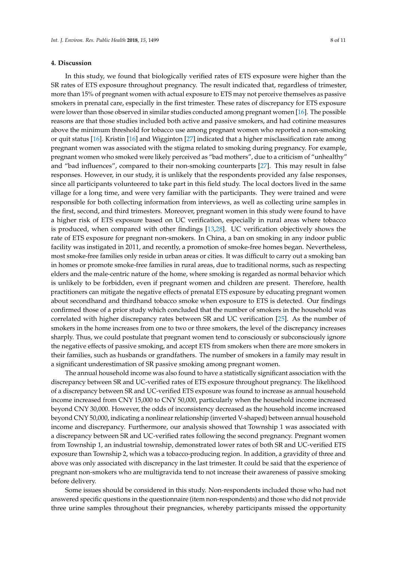#### **4. Discussion**

In this study, we found that biologically verified rates of ETS exposure were higher than the SR rates of ETS exposure throughout pregnancy. The result indicated that, regardless of trimester, more than 15% of pregnant women with actual exposure to ETS may not perceive themselves as passive smokers in prenatal care, especially in the first trimester. These rates of discrepancy for ETS exposure were lower than those observed in similar studies conducted among pregnant women [\[16\]](#page-9-15). The possible reasons are that those studies included both active and passive smokers, and had cotinine measures above the minimum threshold for tobacco use among pregnant women who reported a non-smoking or quit status [\[16\]](#page-9-15). Kristin [\[16\]](#page-9-15) and Wigginton [\[27\]](#page-10-5) indicated that a higher misclassification rate among pregnant women was associated with the stigma related to smoking during pregnancy. For example, pregnant women who smoked were likely perceived as "bad mothers", due to a criticism of "unhealthy" and "bad influences", compared to their non-smoking counterparts [\[27\]](#page-10-5). This may result in false responses. However, in our study, it is unlikely that the respondents provided any false responses, since all participants volunteered to take part in this field study. The local doctors lived in the same village for a long time, and were very familiar with the participants. They were trained and were responsible for both collecting information from interviews, as well as collecting urine samples in the first, second, and third trimesters. Moreover, pregnant women in this study were found to have a higher risk of ETS exposure based on UC verification, especially in rural areas where tobacco is produced, when compared with other findings [\[13](#page-9-12)[,28\]](#page-10-6). UC verification objectively shows the rate of ETS exposure for pregnant non-smokers. In China, a ban on smoking in any indoor public facility was instigated in 2011, and recently, a promotion of smoke-free homes began. Nevertheless, most smoke-free families only reside in urban areas or cities. It was difficult to carry out a smoking ban in homes or promote smoke-free families in rural areas, due to traditional norms, such as respecting elders and the male-centric nature of the home, where smoking is regarded as normal behavior which is unlikely to be forbidden, even if pregnant women and children are present. Therefore, health practitioners can mitigate the negative effects of prenatal ETS exposure by educating pregnant women about secondhand and thirdhand tobacco smoke when exposure to ETS is detected. Our findings confirmed those of a prior study which concluded that the number of smokers in the household was correlated with higher discrepancy rates between SR and UC verification [\[25\]](#page-10-3). As the number of smokers in the home increases from one to two or three smokers, the level of the discrepancy increases sharply. Thus, we could postulate that pregnant women tend to consciously or subconsciously ignore the negative effects of passive smoking, and accept ETS from smokers when there are more smokers in their families, such as husbands or grandfathers. The number of smokers in a family may result in a significant underestimation of SR passive smoking among pregnant women.

The annual household income was also found to have a statistically significant association with the discrepancy between SR and UC-verified rates of ETS exposure throughout pregnancy. The likelihood of a discrepancy between SR and UC-verified ETS exposure was found to increase as annual household income increased from CNY 15,000 to CNY 50,000, particularly when the household income increased beyond CNY 30,000. However, the odds of inconsistency decreased as the household income increased beyond CNY 50,000, indicating a nonlinear relationship (inverted V-shaped) between annual household income and discrepancy. Furthermore, our analysis showed that Township 1 was associated with a discrepancy between SR and UC-verified rates following the second pregnancy. Pregnant women from Township 1, an industrial township, demonstrated lower rates of both SR and UC-verified ETS exposure than Township 2, which was a tobacco-producing region. In addition, a gravidity of three and above was only associated with discrepancy in the last trimester. It could be said that the experience of pregnant non-smokers who are multigravida tend to not increase their awareness of passive smoking before delivery.

Some issues should be considered in this study. Non-respondents included those who had not answered specific questions in the questionnaire (item non-respondents) and those who did not provide three urine samples throughout their pregnancies, whereby participants missed the opportunity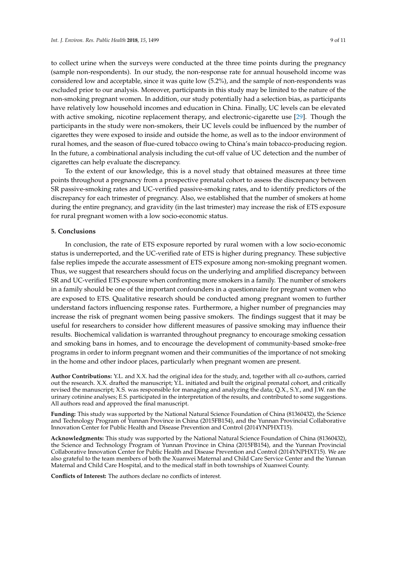to collect urine when the surveys were conducted at the three time points during the pregnancy (sample non-respondents). In our study, the non-response rate for annual household income was considered low and acceptable, since it was quite low (5.2%), and the sample of non-respondents was excluded prior to our analysis. Moreover, participants in this study may be limited to the nature of the non-smoking pregnant women. In addition, our study potentially had a selection bias, as participants have relatively low household incomes and education in China. Finally, UC levels can be elevated with active smoking, nicotine replacement therapy, and electronic-cigarette use [\[29\]](#page-10-7). Though the participants in the study were non-smokers, their UC levels could be influenced by the number of cigarettes they were exposed to inside and outside the home, as well as to the indoor environment of rural homes, and the season of flue-cured tobacco owing to China's main tobacco-producing region. In the future, a combinational analysis including the cut-off value of UC detection and the number of cigarettes can help evaluate the discrepancy.

To the extent of our knowledge, this is a novel study that obtained measures at three time points throughout a pregnancy from a prospective prenatal cohort to assess the discrepancy between SR passive-smoking rates and UC-verified passive-smoking rates, and to identify predictors of the discrepancy for each trimester of pregnancy. Also, we established that the number of smokers at home during the entire pregnancy, and gravidity (in the last trimester) may increase the risk of ETS exposure for rural pregnant women with a low socio-economic status.

#### **5. Conclusions**

In conclusion, the rate of ETS exposure reported by rural women with a low socio-economic status is underreported, and the UC-verified rate of ETS is higher during pregnancy. These subjective false replies impede the accurate assessment of ETS exposure among non-smoking pregnant women. Thus, we suggest that researchers should focus on the underlying and amplified discrepancy between SR and UC-verified ETS exposure when confronting more smokers in a family. The number of smokers in a family should be one of the important confounders in a questionnaire for pregnant women who are exposed to ETS. Qualitative research should be conducted among pregnant women to further understand factors influencing response rates. Furthermore, a higher number of pregnancies may increase the risk of pregnant women being passive smokers. The findings suggest that it may be useful for researchers to consider how different measures of passive smoking may influence their results. Biochemical validation is warranted throughout pregnancy to encourage smoking cessation and smoking bans in homes, and to encourage the development of community-based smoke-free programs in order to inform pregnant women and their communities of the importance of not smoking in the home and other indoor places, particularly when pregnant women are present.

**Author Contributions:** Y.L. and X.X. had the original idea for the study, and, together with all co-authors, carried out the research. X.X. drafted the manuscript; Y.L. initiated and built the original prenatal cohort, and critically revised the manuscript; X.S. was responsible for managing and analyzing the data; Q.X., S.Y., and J.W. ran the urinary cotinine analyses; E.S. participated in the interpretation of the results, and contributed to some suggestions. All authors read and approved the final manuscript.

**Funding:** This study was supported by the National Natural Science Foundation of China (81360432), the Science and Technology Program of Yunnan Province in China (2015FB154), and the Yunnan Provincial Collaborative Innovation Center for Public Health and Disease Prevention and Control (2014YNPHXT15).

**Acknowledgments:** This study was supported by the National Natural Science Foundation of China (81360432), the Science and Technology Program of Yunnan Province in China (2015FB154), and the Yunnan Provincial Collaborative Innovation Center for Public Health and Disease Prevention and Control (2014YNPHXT15). We are also grateful to the team members of both the Xuanwei Maternal and Child Care Service Center and the Yunnan Maternal and Child Care Hospital, and to the medical staff in both townships of Xuanwei County.

**Conflicts of Interest:** The authors declare no conflicts of interest.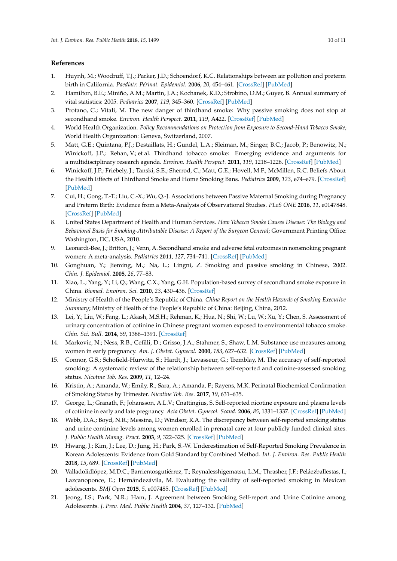## **References**

- <span id="page-9-0"></span>1. Huynh, M.; Woodruff, T.J.; Parker, J.D.; Schoendorf, K.C. Relationships between air pollution and preterm birth in California. *Paediatr. Périnat. Epidemiol.* **2006**, *20*, 454–461. [\[CrossRef\]](http://dx.doi.org/10.1111/j.1365-3016.2006.00759.x) [\[PubMed\]](http://www.ncbi.nlm.nih.gov/pubmed/17052280)
- <span id="page-9-1"></span>2. Hamilton, B.E.; Miniño, A.M.; Martin, J.A.; Kochanek, K.D.; Strobino, D.M.; Guyer, B. Annual summary of vital statistics: 2005. *Pediatrics* **2007**, *119*, 345–360. [\[CrossRef\]](http://dx.doi.org/10.1542/peds.2006-3226) [\[PubMed\]](http://www.ncbi.nlm.nih.gov/pubmed/17272625)
- <span id="page-9-2"></span>3. Protano, C.; Vitali, M. The new danger of thirdhand smoke: Why passive smoking does not stop at secondhand smoke. *Environ. Health Perspect.* **2011**, *119*, A422. [\[CrossRef\]](http://dx.doi.org/10.1289/ehp.1103956) [\[PubMed\]](http://www.ncbi.nlm.nih.gov/pubmed/21968336)
- <span id="page-9-3"></span>4. World Health Organization. *Policy Recommendations on Protection from Exposure to Second-Hand Tobacco Smoke*; World Health Organization: Geneva, Switzerland, 2007.
- <span id="page-9-4"></span>5. Matt, G.E.; Quintana, P.J.; Destaillats, H.; Gundel, L.A.; Sleiman, M.; Singer, B.C.; Jacob, P.; Benowitz, N.; Winickoff, J.P.; Rehan, V.; et al. Thirdhand tobacco smoke: Emerging evidence and arguments for a multidisciplinary research agenda. *Environ. Health Perspect.* **2011**, *119*, 1218–1226. [\[CrossRef\]](http://dx.doi.org/10.1289/ehp.1103500) [\[PubMed\]](http://www.ncbi.nlm.nih.gov/pubmed/21628107)
- <span id="page-9-5"></span>6. Winickoff, J.P.; Friebely, J.; Tanski, S.E.; Sherrod, C.; Matt, G.E.; Hovell, M.F.; McMillen, R.C. Beliefs About the Health Effects of Thirdhand Smoke and Home Smoking Bans. *Pediatrics* **2009**, *123*, e74–e79. [\[CrossRef\]](http://dx.doi.org/10.1542/peds.2008-2184) [\[PubMed\]](http://www.ncbi.nlm.nih.gov/pubmed/19117850)
- <span id="page-9-6"></span>7. Cui, H.; Gong, T.-T.; Liu, C.-X.; Wu, Q.-J. Associations between Passive Maternal Smoking during Pregnancy and Preterm Birth: Evidence from a Meta-Analysis of Observational Studies. *PLoS ONE* **2016**, *11*, e0147848. [\[CrossRef\]](http://dx.doi.org/10.1371/journal.pone.0147848) [\[PubMed\]](http://www.ncbi.nlm.nih.gov/pubmed/26808045)
- <span id="page-9-7"></span>8. United States Department of Health and Human Services. *How Tobacco Smoke Causes Disease: The Biology and Behavioral Basis for Smoking-Attributable Disease: A Report of the Surgeon General*; Government Printing Office: Washington, DC, USA, 2010.
- <span id="page-9-8"></span>9. Leonardi-Bee, J.; Britton, J.; Venn, A. Secondhand smoke and adverse fetal outcomes in nonsmoking pregnant women: A meta-analysis. *Pediatrics* **2011**, *127*, 734–741. [\[CrossRef\]](http://dx.doi.org/10.1542/peds.2010-3041) [\[PubMed\]](http://www.ncbi.nlm.nih.gov/pubmed/21382949)
- <span id="page-9-9"></span>10. Gonghuan, Y.; Jieming, M.; Na, L.; Lingni, Z. Smoking and passive smoking in Chinese, 2002. *Chin. J. Epidemiol.* **2005**, *26*, 77–83.
- <span id="page-9-10"></span>11. Xiao, L.; Yang, Y.; Li, Q.; Wang, C.X.; Yang, G.H. Population-based survey of secondhand smoke exposure in China. *Biomed. Environ. Sci.* **2010**, *23*, 430–436. [\[CrossRef\]](http://dx.doi.org/10.1016/S0895-3988(11)60003-2)
- <span id="page-9-11"></span>12. Ministry of Health of the People's Republic of China. *China Report on the Health Hazards of Smoking Executive Summary*; Ministry of Health of the People's Republic of China: Beijing, China, 2012.
- <span id="page-9-12"></span>13. Lei, Y.; Liu, W.; Fang, L.; Akash, M.S.H.; Rehman, K.; Hua, N.; Shi, W.; Lu, W.; Xu, Y.; Chen, S. Assessment of urinary concentration of cotinine in Chinese pregnant women exposed to environmental tobacco smoke. *Chin. Sci. Bull.* **2014**, *59*, 1386–1391. [\[CrossRef\]](http://dx.doi.org/10.1007/s11434-014-0209-6)
- <span id="page-9-13"></span>14. Markovic, N.; Ness, R.B.; Cefilli, D.; Grisso, J.A.; Stahmer, S.; Shaw, L.M. Substance use measures among women in early pregnancy. *Am. J. Obstet. Gynecol.* **2000**, *183*, 627–632. [\[CrossRef\]](http://dx.doi.org/10.1067/mob.2000.106450) [\[PubMed\]](http://www.ncbi.nlm.nih.gov/pubmed/10992184)
- <span id="page-9-14"></span>15. Connor, G.S.; Schofield-Hurwitz, S.; Hardt, J.; Levasseur, G.; Tremblay, M. The accuracy of self-reported smoking: A systematic review of the relationship between self-reported and cotinine-assessed smoking status. *Nicotine Tob. Res.* **2009**, *11*, 12–24.
- <span id="page-9-15"></span>16. Kristin, A.; Amanda, W.; Emily, R.; Sara, A.; Amanda, F.; Rayens, M.K. Perinatal Biochemical Confirmation of Smoking Status by Trimester. *Nicotine Tob. Res.* **2017**, *19*, 631–635.
- 17. George, L.; Granath, F.; Johansson, A.L.V.; Cnattingius, S. Self-reported nicotine exposure and plasma levels of cotinine in early and late pregnancy. *Acta Obstet. Gynecol. Scand.* **2006**, *85*, 1331–1337. [\[CrossRef\]](http://dx.doi.org/10.1080/00016340600935433) [\[PubMed\]](http://www.ncbi.nlm.nih.gov/pubmed/17091413)
- <span id="page-9-16"></span>18. Webb, D.A.; Boyd, N.R.; Messina, D.; Windsor, R.A. The discrepancy between self-reported smoking status and urine continine levels among women enrolled in prenatal care at four publicly funded clinical sites. *J. Public Health Manag. Pract.* **2003**, *9*, 322–325. [\[CrossRef\]](http://dx.doi.org/10.1097/00124784-200307000-00011) [\[PubMed\]](http://www.ncbi.nlm.nih.gov/pubmed/12836515)
- <span id="page-9-17"></span>19. Hwang, J.; Kim, J.; Lee, D.; Jung, H.; Park, S.-W. Underestimation of Self-Reported Smoking Prevalence in Korean Adolescents: Evidence from Gold Standard by Combined Method. *Int. J. Environ. Res. Public Health* **2018**, *15*, 689. [\[CrossRef\]](http://dx.doi.org/10.3390/ijerph15040689) [\[PubMed\]](http://www.ncbi.nlm.nih.gov/pubmed/29621167)
- 20. Valladolidlópez, M.D.C.; Barrientosgutiérrez, T.; Reynalesshigematsu, L.M.; Thrasher, J.F.; Peláezballestas, I.; Lazcanoponce, E.; Hernándezávila, M. Evaluating the validity of self-reported smoking in Mexican adolescents. *BMJ Open* **2015**, *5*, e007485. [\[CrossRef\]](http://dx.doi.org/10.1136/bmjopen-2014-007485) [\[PubMed\]](http://www.ncbi.nlm.nih.gov/pubmed/26453588)
- <span id="page-9-18"></span>21. Jeong, I.S.; Park, N.R.; Ham, J. Agreement between Smoking Self-report and Urine Cotinine among Adolescents. *J. Prev. Med. Public Health* **2004**, *37*, 127–132. [\[PubMed\]](http://www.ncbi.nlm.nih.gov/pubmed/25178443)